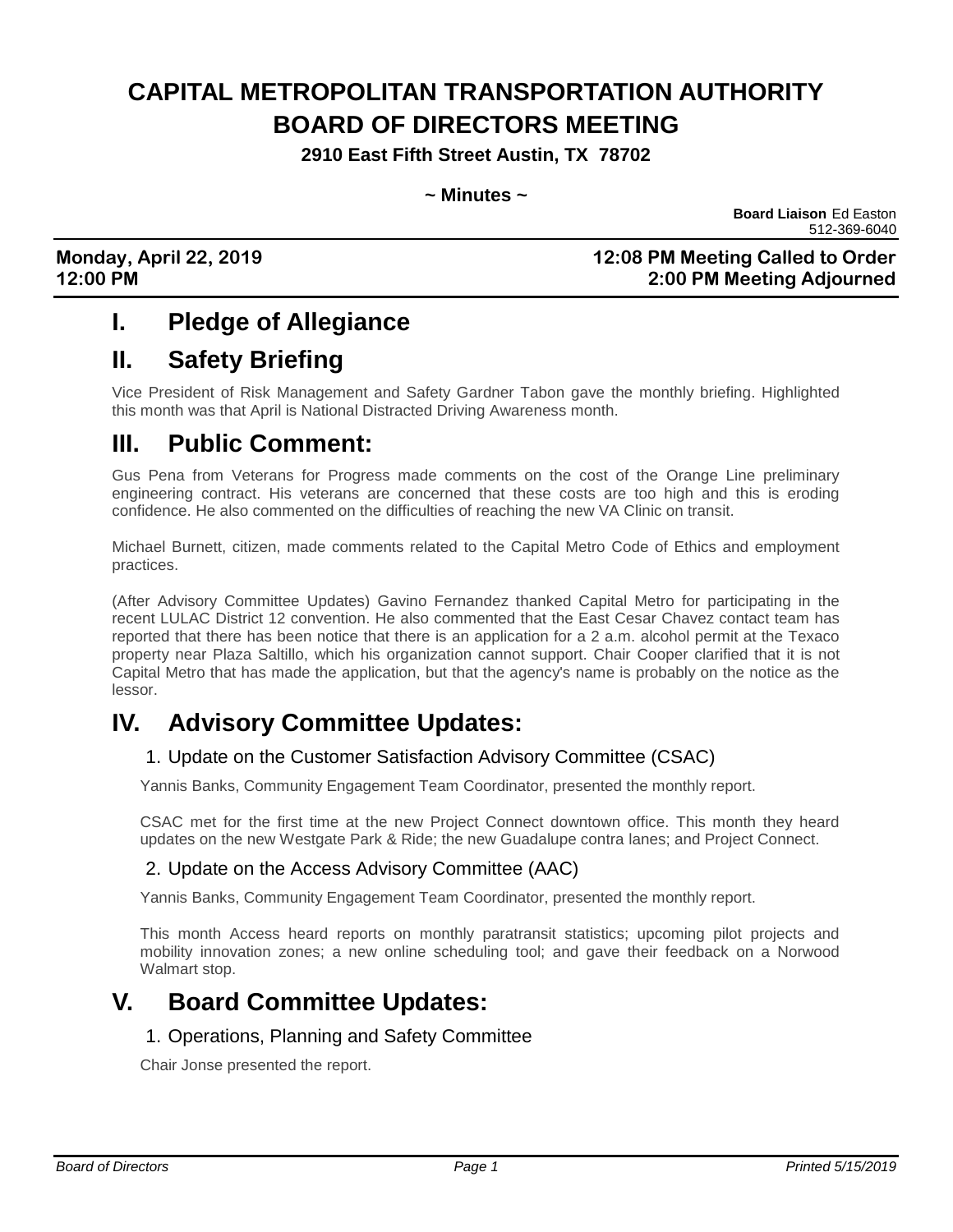# **CAPITAL METROPOLITAN TRANSPORTATION AUTHORITY BOARD OF DIRECTORS MEETING**

**2910 East Fifth Street Austin, TX 78702**

#### **~ Minutes ~**

 **Board Liaison** Ed Easton 512-369-6040

#### **Monday, April 22, 2019 12:08 PM Meeting Called to Order 12:00 PM 2:00 PM Meeting Adjourned**

### **I. Pledge of Allegiance**

## **II. Safety Briefing**

Vice President of Risk Management and Safety Gardner Tabon gave the monthly briefing. Highlighted this month was that April is National Distracted Driving Awareness month.

# **III. Public Comment:**

Gus Pena from Veterans for Progress made comments on the cost of the Orange Line preliminary engineering contract. His veterans are concerned that these costs are too high and this is eroding confidence. He also commented on the difficulties of reaching the new VA Clinic on transit.

Michael Burnett, citizen, made comments related to the Capital Metro Code of Ethics and employment practices.

(After Advisory Committee Updates) Gavino Fernandez thanked Capital Metro for participating in the recent LULAC District 12 convention. He also commented that the East Cesar Chavez contact team has reported that there has been notice that there is an application for a 2 a.m. alcohol permit at the Texaco property near Plaza Saltillo, which his organization cannot support. Chair Cooper clarified that it is not Capital Metro that has made the application, but that the agency's name is probably on the notice as the lessor.

### **IV. Advisory Committee Updates:**

#### 1. Update on the Customer Satisfaction Advisory Committee (CSAC)

Yannis Banks, Community Engagement Team Coordinator, presented the monthly report.

CSAC met for the first time at the new Project Connect downtown office. This month they heard updates on the new Westgate Park & Ride; the new Guadalupe contra lanes; and Project Connect.

#### 2. Update on the Access Advisory Committee (AAC)

Yannis Banks, Community Engagement Team Coordinator, presented the monthly report.

This month Access heard reports on monthly paratransit statistics; upcoming pilot projects and mobility innovation zones; a new online scheduling tool; and gave their feedback on a Norwood Walmart stop.

### **V. Board Committee Updates:**

#### 1. Operations, Planning and Safety Committee

Chair Jonse presented the report.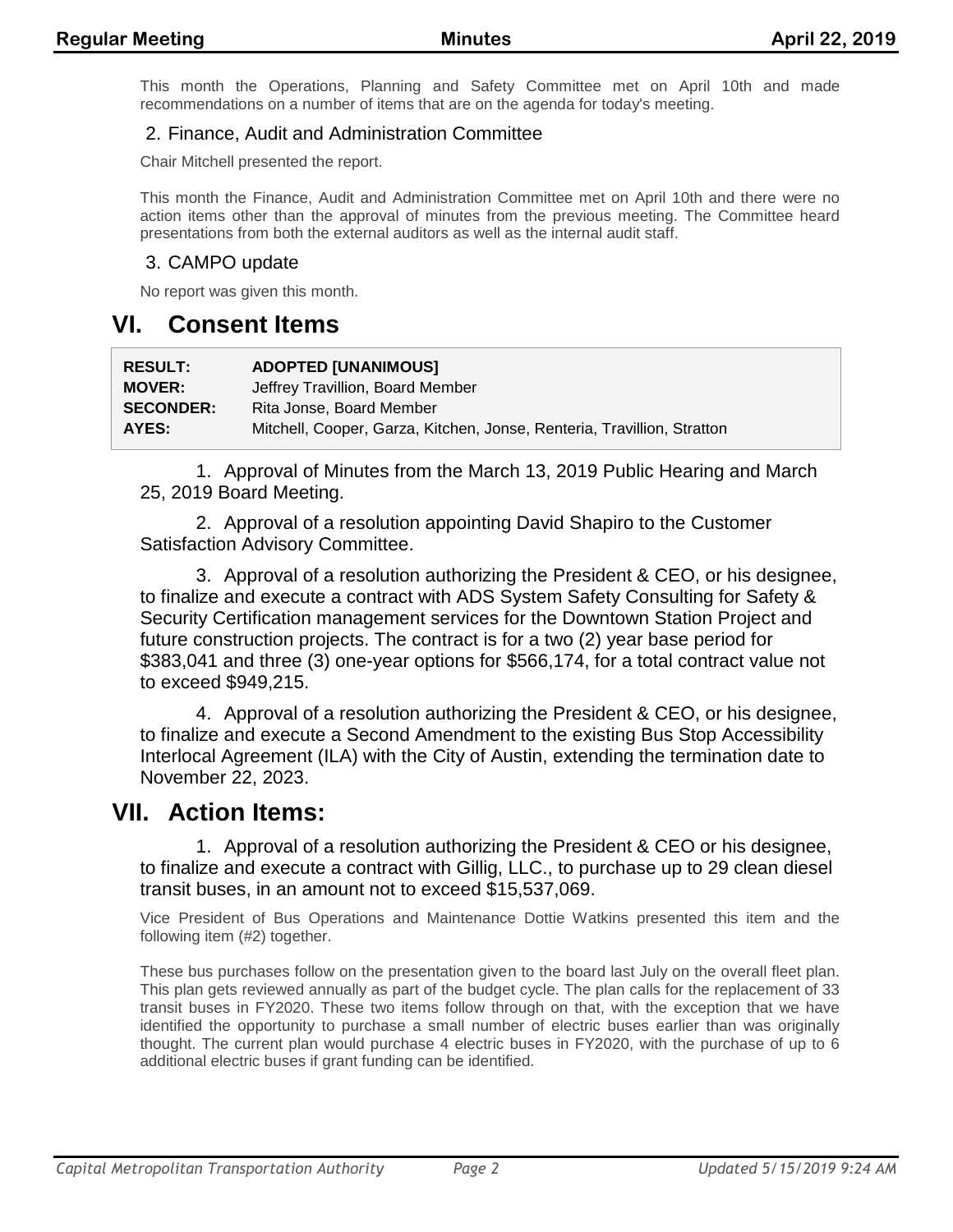This month the Operations, Planning and Safety Committee met on April 10th and made recommendations on a number of items that are on the agenda for today's meeting.

#### 2. Finance, Audit and Administration Committee

Chair Mitchell presented the report.

This month the Finance, Audit and Administration Committee met on April 10th and there were no action items other than the approval of minutes from the previous meeting. The Committee heard presentations from both the external auditors as well as the internal audit staff.

#### 3. CAMPO update

No report was given this month.

### **VI. Consent Items**

| <b>RESULT:</b>   | <b>ADOPTED [UNANIMOUS]</b>                                              |
|------------------|-------------------------------------------------------------------------|
| <b>MOVER:</b>    | Jeffrey Travillion, Board Member                                        |
| <b>SECONDER:</b> | Rita Jonse, Board Member                                                |
| AYES:            | Mitchell, Cooper, Garza, Kitchen, Jonse, Renteria, Travillion, Stratton |

1. Approval of Minutes from the March 13, 2019 Public Hearing and March 25, 2019 Board Meeting.

2. Approval of a resolution appointing David Shapiro to the Customer Satisfaction Advisory Committee.

3. Approval of a resolution authorizing the President & CEO, or his designee, to finalize and execute a contract with ADS System Safety Consulting for Safety & Security Certification management services for the Downtown Station Project and future construction projects. The contract is for a two (2) year base period for \$383,041 and three (3) one-year options for \$566,174, for a total contract value not to exceed \$949,215.

4. Approval of a resolution authorizing the President & CEO, or his designee, to finalize and execute a Second Amendment to the existing Bus Stop Accessibility Interlocal Agreement (ILA) with the City of Austin, extending the termination date to November 22, 2023.

### **VII. Action Items:**

1. Approval of a resolution authorizing the President & CEO or his designee, to finalize and execute a contract with Gillig, LLC., to purchase up to 29 clean diesel transit buses, in an amount not to exceed \$15,537,069.

Vice President of Bus Operations and Maintenance Dottie Watkins presented this item and the following item (#2) together.

These bus purchases follow on the presentation given to the board last July on the overall fleet plan. This plan gets reviewed annually as part of the budget cycle. The plan calls for the replacement of 33 transit buses in FY2020. These two items follow through on that, with the exception that we have identified the opportunity to purchase a small number of electric buses earlier than was originally thought. The current plan would purchase 4 electric buses in FY2020, with the purchase of up to 6 additional electric buses if grant funding can be identified.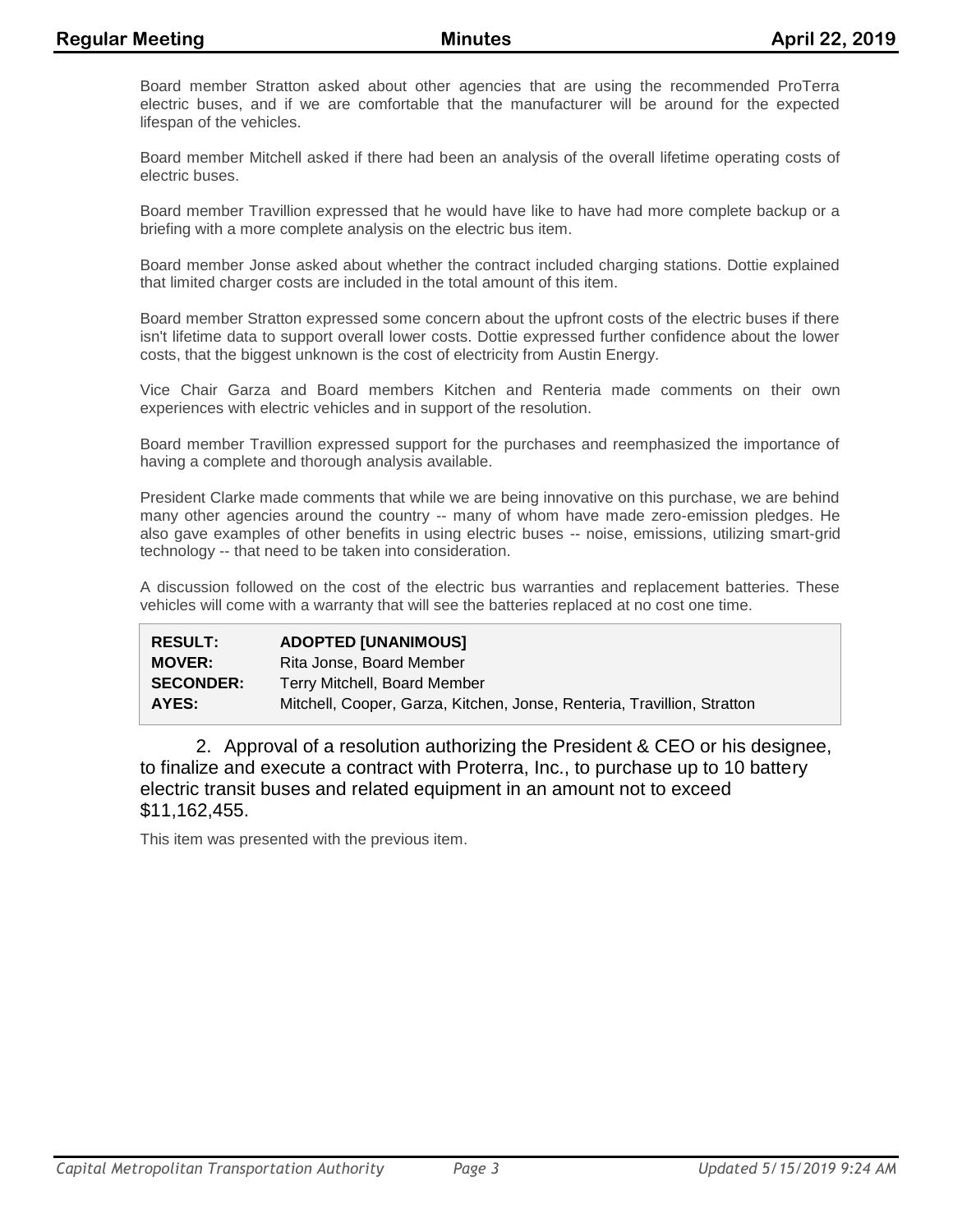Board member Stratton asked about other agencies that are using the recommended ProTerra electric buses, and if we are comfortable that the manufacturer will be around for the expected lifespan of the vehicles.

Board member Mitchell asked if there had been an analysis of the overall lifetime operating costs of electric buses.

Board member Travillion expressed that he would have like to have had more complete backup or a briefing with a more complete analysis on the electric bus item.

Board member Jonse asked about whether the contract included charging stations. Dottie explained that limited charger costs are included in the total amount of this item.

Board member Stratton expressed some concern about the upfront costs of the electric buses if there isn't lifetime data to support overall lower costs. Dottie expressed further confidence about the lower costs, that the biggest unknown is the cost of electricity from Austin Energy.

Vice Chair Garza and Board members Kitchen and Renteria made comments on their own experiences with electric vehicles and in support of the resolution.

Board member Travillion expressed support for the purchases and reemphasized the importance of having a complete and thorough analysis available.

President Clarke made comments that while we are being innovative on this purchase, we are behind many other agencies around the country -- many of whom have made zero-emission pledges. He also gave examples of other benefits in using electric buses -- noise, emissions, utilizing smart-grid technology -- that need to be taken into consideration.

A discussion followed on the cost of the electric bus warranties and replacement batteries. These vehicles will come with a warranty that will see the batteries replaced at no cost one time.

| <b>RESULT:</b>   | <b>ADOPTED [UNANIMOUS]</b>                                              |
|------------------|-------------------------------------------------------------------------|
| <b>MOVER:</b>    | Rita Jonse, Board Member                                                |
| <b>SECONDER:</b> | Terry Mitchell, Board Member                                            |
| AYES:            | Mitchell, Cooper, Garza, Kitchen, Jonse, Renteria, Travillion, Stratton |

2. Approval of a resolution authorizing the President & CEO or his designee, to finalize and execute a contract with Proterra, Inc., to purchase up to 10 battery electric transit buses and related equipment in an amount not to exceed \$11,162,455.

This item was presented with the previous item.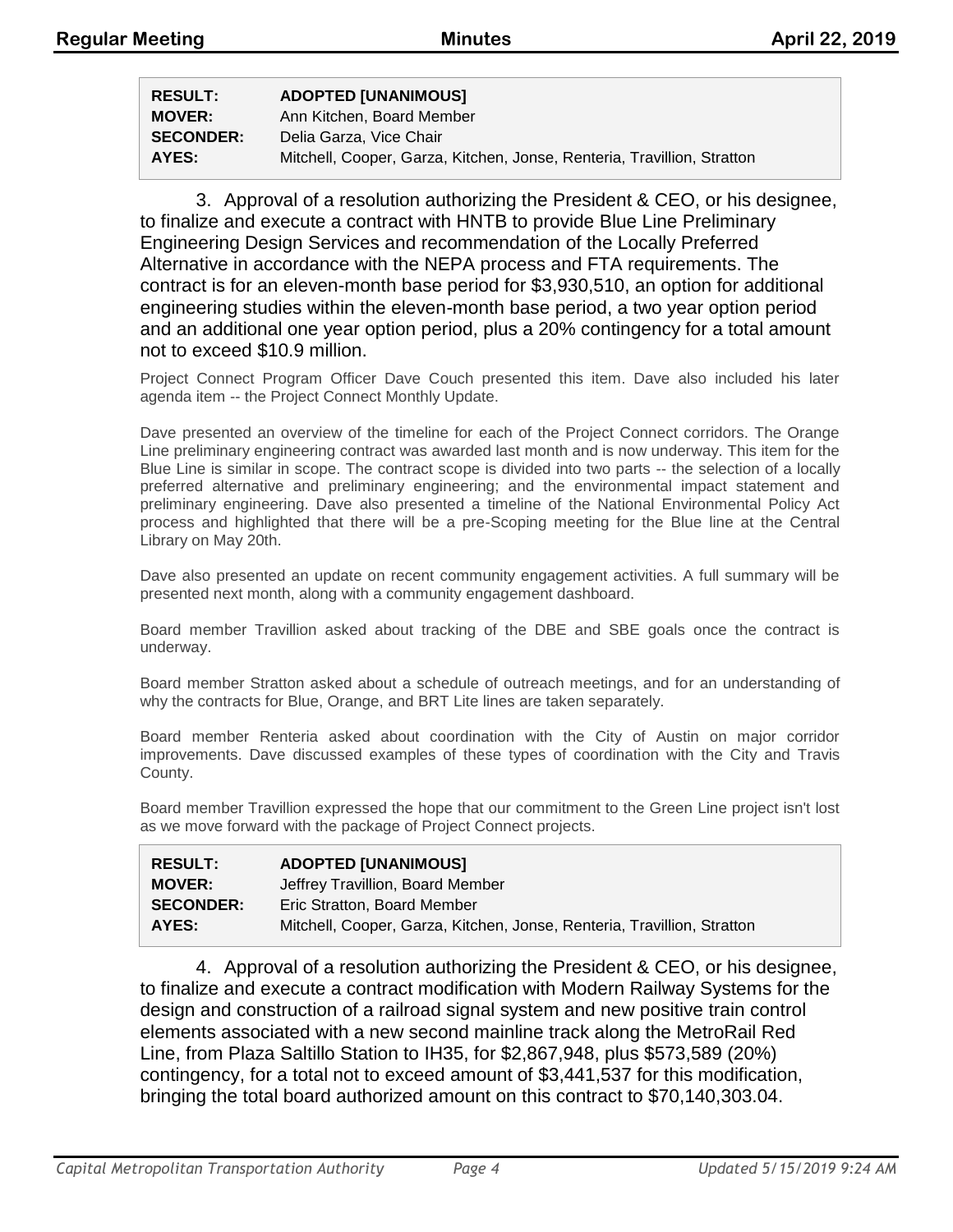| <b>RESULT:</b>   | <b>ADOPTED [UNANIMOUS]</b>                                              |
|------------------|-------------------------------------------------------------------------|
| <b>MOVER:</b>    | Ann Kitchen, Board Member                                               |
| <b>SECONDER:</b> | Delia Garza, Vice Chair                                                 |
| AYES:            | Mitchell, Cooper, Garza, Kitchen, Jonse, Renteria, Travillion, Stratton |

3. Approval of a resolution authorizing the President & CEO, or his designee, to finalize and execute a contract with HNTB to provide Blue Line Preliminary Engineering Design Services and recommendation of the Locally Preferred Alternative in accordance with the NEPA process and FTA requirements. The contract is for an eleven-month base period for \$3,930,510, an option for additional engineering studies within the eleven-month base period, a two year option period and an additional one year option period, plus a 20% contingency for a total amount not to exceed \$10.9 million.

Project Connect Program Officer Dave Couch presented this item. Dave also included his later agenda item -- the Project Connect Monthly Update.

Dave presented an overview of the timeline for each of the Project Connect corridors. The Orange Line preliminary engineering contract was awarded last month and is now underway. This item for the Blue Line is similar in scope. The contract scope is divided into two parts -- the selection of a locally preferred alternative and preliminary engineering; and the environmental impact statement and preliminary engineering. Dave also presented a timeline of the National Environmental Policy Act process and highlighted that there will be a pre-Scoping meeting for the Blue line at the Central Library on May 20th.

Dave also presented an update on recent community engagement activities. A full summary will be presented next month, along with a community engagement dashboard.

Board member Travillion asked about tracking of the DBE and SBE goals once the contract is underway.

Board member Stratton asked about a schedule of outreach meetings, and for an understanding of why the contracts for Blue, Orange, and BRT Lite lines are taken separately.

Board member Renteria asked about coordination with the City of Austin on major corridor improvements. Dave discussed examples of these types of coordination with the City and Travis County.

Board member Travillion expressed the hope that our commitment to the Green Line project isn't lost as we move forward with the package of Project Connect projects.

| <b>RESULT:</b>   | <b>ADOPTED [UNANIMOUS]</b>                                              |
|------------------|-------------------------------------------------------------------------|
| <b>MOVER:</b>    | Jeffrey Travillion, Board Member                                        |
| <b>SECONDER:</b> | Eric Stratton, Board Member                                             |
| AYES:            | Mitchell, Cooper, Garza, Kitchen, Jonse, Renteria, Travillion, Stratton |

4. Approval of a resolution authorizing the President & CEO, or his designee, to finalize and execute a contract modification with Modern Railway Systems for the design and construction of a railroad signal system and new positive train control elements associated with a new second mainline track along the MetroRail Red Line, from Plaza Saltillo Station to IH35, for \$2,867,948, plus \$573,589 (20%) contingency, for a total not to exceed amount of \$3,441,537 for this modification, bringing the total board authorized amount on this contract to \$70,140,303.04.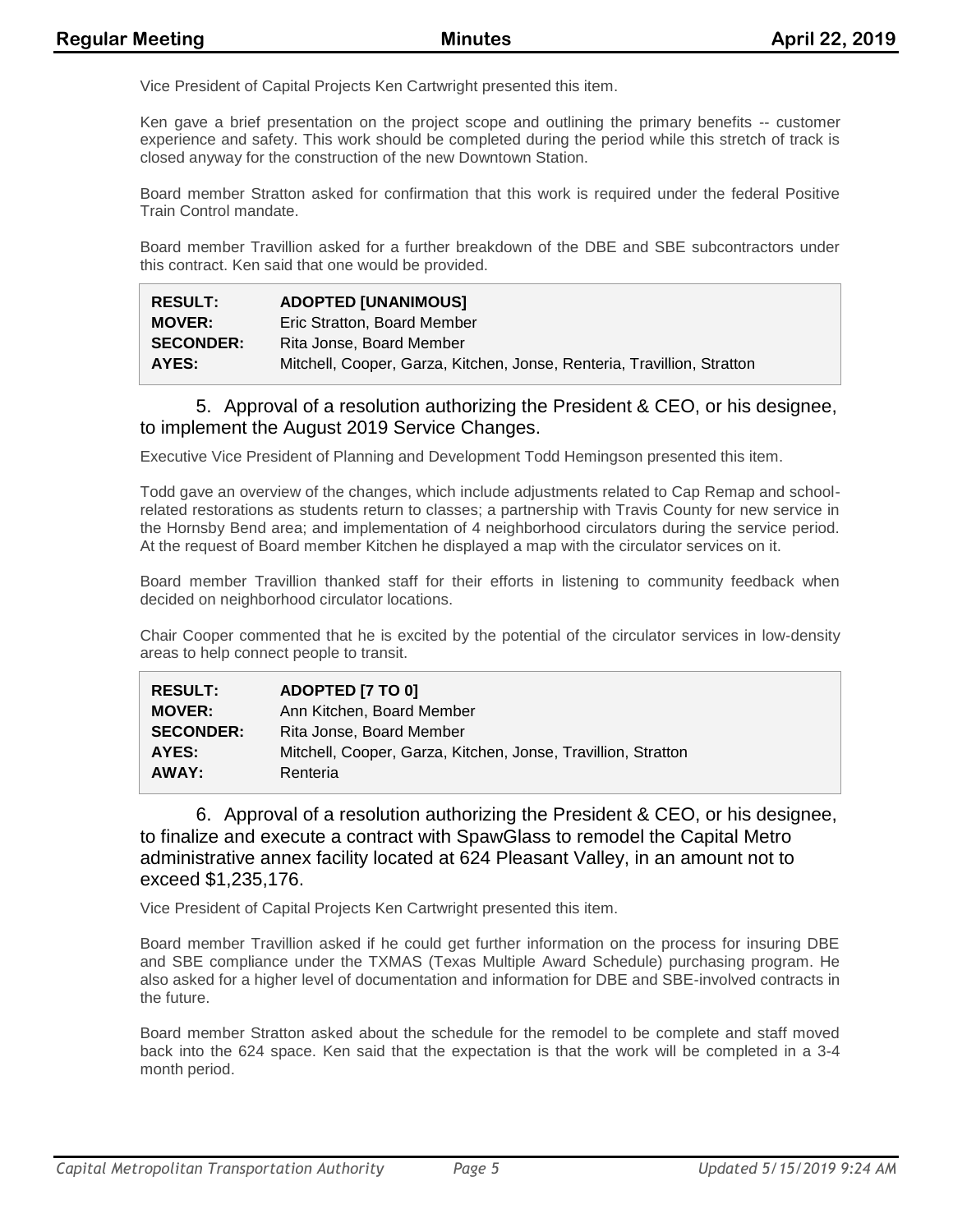Vice President of Capital Projects Ken Cartwright presented this item.

Ken gave a brief presentation on the project scope and outlining the primary benefits -- customer experience and safety. This work should be completed during the period while this stretch of track is closed anyway for the construction of the new Downtown Station.

Board member Stratton asked for confirmation that this work is required under the federal Positive Train Control mandate.

Board member Travillion asked for a further breakdown of the DBE and SBE subcontractors under this contract. Ken said that one would be provided.

| <b>RESULT:</b>   | <b>ADOPTED [UNANIMOUS]</b>                                              |
|------------------|-------------------------------------------------------------------------|
| <b>MOVER:</b>    | Eric Stratton, Board Member                                             |
| <b>SECONDER:</b> | Rita Jonse, Board Member                                                |
| AYES:            | Mitchell, Cooper, Garza, Kitchen, Jonse, Renteria, Travillion, Stratton |

#### 5. Approval of a resolution authorizing the President & CEO, or his designee, to implement the August 2019 Service Changes.

Executive Vice President of Planning and Development Todd Hemingson presented this item.

Todd gave an overview of the changes, which include adjustments related to Cap Remap and schoolrelated restorations as students return to classes; a partnership with Travis County for new service in the Hornsby Bend area; and implementation of 4 neighborhood circulators during the service period. At the request of Board member Kitchen he displayed a map with the circulator services on it.

Board member Travillion thanked staff for their efforts in listening to community feedback when decided on neighborhood circulator locations.

Chair Cooper commented that he is excited by the potential of the circulator services in low-density areas to help connect people to transit.

| <b>RESULT:</b>   | ADOPTED [7 TO 0]                                              |
|------------------|---------------------------------------------------------------|
| <b>MOVER:</b>    | Ann Kitchen, Board Member                                     |
| <b>SECONDER:</b> | Rita Jonse, Board Member                                      |
| AYES:            | Mitchell, Cooper, Garza, Kitchen, Jonse, Travillion, Stratton |
| AWAY:            | Renteria                                                      |

6. Approval of a resolution authorizing the President & CEO, or his designee, to finalize and execute a contract with SpawGlass to remodel the Capital Metro administrative annex facility located at 624 Pleasant Valley, in an amount not to exceed \$1,235,176.

Vice President of Capital Projects Ken Cartwright presented this item.

Board member Travillion asked if he could get further information on the process for insuring DBE and SBE compliance under the TXMAS (Texas Multiple Award Schedule) purchasing program. He also asked for a higher level of documentation and information for DBE and SBE-involved contracts in the future.

Board member Stratton asked about the schedule for the remodel to be complete and staff moved back into the 624 space. Ken said that the expectation is that the work will be completed in a 3-4 month period.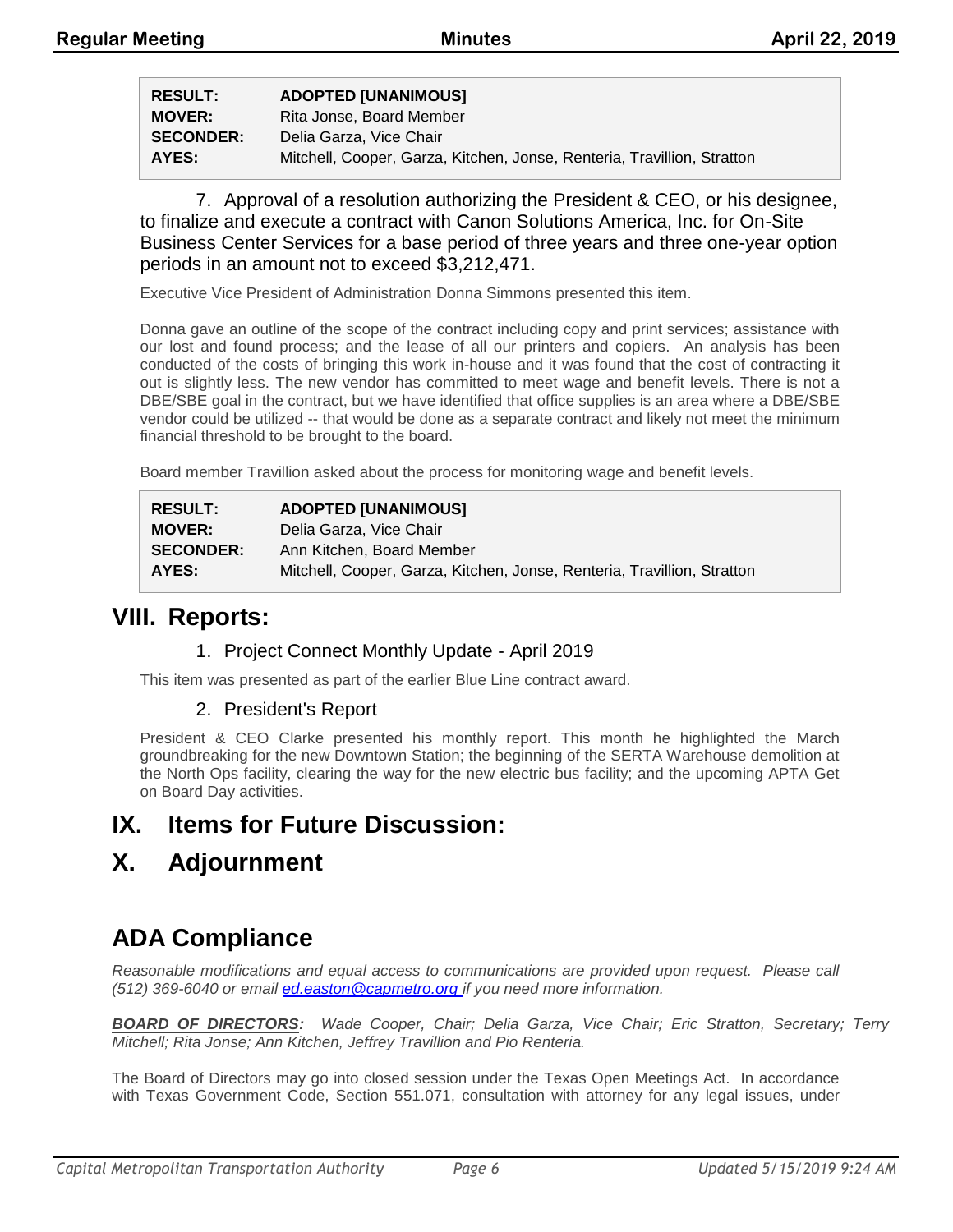| <b>RESULT:</b>   | <b>ADOPTED [UNANIMOUS]</b>                                              |
|------------------|-------------------------------------------------------------------------|
| <b>MOVER:</b>    | Rita Jonse, Board Member                                                |
| <b>SECONDER:</b> | Delia Garza, Vice Chair                                                 |
| AYES:            | Mitchell, Cooper, Garza, Kitchen, Jonse, Renteria, Travillion, Stratton |

7. Approval of a resolution authorizing the President & CEO, or his designee, to finalize and execute a contract with Canon Solutions America, Inc. for On-Site Business Center Services for a base period of three years and three one-year option periods in an amount not to exceed \$3,212,471.

Executive Vice President of Administration Donna Simmons presented this item.

Donna gave an outline of the scope of the contract including copy and print services; assistance with our lost and found process; and the lease of all our printers and copiers. An analysis has been conducted of the costs of bringing this work in-house and it was found that the cost of contracting it out is slightly less. The new vendor has committed to meet wage and benefit levels. There is not a DBE/SBE goal in the contract, but we have identified that office supplies is an area where a DBE/SBE vendor could be utilized -- that would be done as a separate contract and likely not meet the minimum financial threshold to be brought to the board.

Board member Travillion asked about the process for monitoring wage and benefit levels.

| <b>RESULT:</b>   | <b>ADOPTED [UNANIMOUS]</b>                                              |
|------------------|-------------------------------------------------------------------------|
| <b>MOVER:</b>    | Delia Garza, Vice Chair                                                 |
| <b>SECONDER:</b> | Ann Kitchen, Board Member                                               |
| AYES:            | Mitchell, Cooper, Garza, Kitchen, Jonse, Renteria, Travillion, Stratton |

### **VIII. Reports:**

#### 1. Project Connect Monthly Update - April 2019

This item was presented as part of the earlier Blue Line contract award.

#### 2. President's Report

President & CEO Clarke presented his monthly report. This month he highlighted the March groundbreaking for the new Downtown Station; the beginning of the SERTA Warehouse demolition at the North Ops facility, clearing the way for the new electric bus facility; and the upcoming APTA Get on Board Day activities.

### **IX. Items for Future Discussion:**

### **X. Adjournment**

# **ADA Compliance**

*Reasonable modifications and equal access to communications are provided upon request. Please call (512) 369-6040 or email ed.easton@capmetro.org if you need more information.*

*BOARD OF DIRECTORS: Wade Cooper, Chair; Delia Garza, Vice Chair; Eric Stratton, Secretary; Terry Mitchell; Rita Jonse; Ann Kitchen, Jeffrey Travillion and Pio Renteria.* 

The Board of Directors may go into closed session under the Texas Open Meetings Act. In accordance with Texas Government Code, Section 551.071, consultation with attorney for any legal issues, under